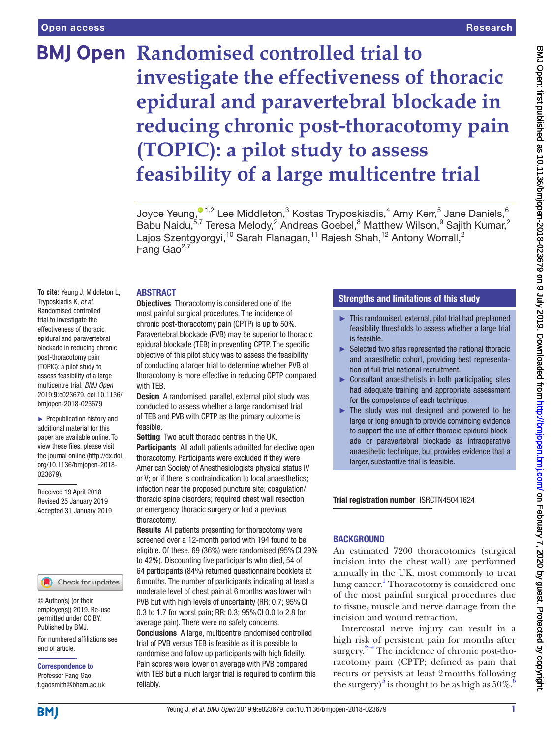# **BMJ Open Randomised controlled trial to investigate the effectiveness of thoracic epidural and paravertebral blockade in reducing chronic post-thoracotomy pain (TOPIC): a pilot study to assess feasibility of a large multicentre trial**

Joyce Yeung, $^{\textcolor{red}{\textbullet}}$  1,2 Lee Middleton, $^3$  Kostas Tryposkiadis, $^4$  Amy Kerr, $^5$  Jane Daniels, $^6$ Babu Naidu,<sup>5[,7](http://orcid.org/0000-0003-2950-4758)</sup> Teresa Melody,<sup>2</sup> Andreas Goebel,<sup>8</sup> Matthew Wilson,<sup>9</sup> Sajith Kumar,<sup>2</sup> Lajos Szentgyorgyi,<sup>10</sup> Sarah Flanagan,<sup>11</sup> Rajesh Shah,<sup>12</sup> Antony Worrall,<sup>2</sup> Fang Gao<sup>2,7</sup>

#### **ABSTRACT**

**To cite:** Yeung J, Middleton L, Tryposkiadis K, *et al*. Randomised controlled trial to investigate the effectiveness of thoracic epidural and paravertebral blockade in reducing chronic post-thoracotomy pain (TOPIC): a pilot study to assess feasibility of a large multicentre trial. *BMJ Open* 2019;9:e023679. doi:10.1136/ bmjopen-2018-023679

► Prepublication history and additional material for this paper are available online. To view these files, please visit the journal online (http://dx.doi. org/10.1136/bmjopen-2018- 023679).

Received 19 April 2018 Revised 25 January 2019 Accepted 31 January 2019

## Check for updates

© Author(s) (or their employer(s)) 2019. Re-use permitted under CC BY. Published by BMJ.

For numbered affiliations see end of article.

Correspondence to Professor Fang Gao; f.gaosmith@bham.ac.uk

Objectives Thoracotomy is considered one of the most painful surgical procedures. The incidence of chronic post-thoracotomy pain (CPTP) is up to 50%. Paravertebral blockade (PVB) may be superior to thoracic epidural blockade (TEB) in preventing CPTP. The specific objective of this pilot study was to assess the feasibility of conducting a larger trial to determine whether PVB at thoracotomy is more effective in reducing CPTP compared with TEB.

Design A randomised, parallel, external pilot study was conducted to assess whether a large randomised trial of TEB and PVB with CPTP as the primary outcome is feasible.

Setting Two adult thoracic centres in the UK. Participants All adult patients admitted for elective open thoracotomy. Participants were excluded if they were American Society of Anesthesiologists physical status IV or V; or if there is contraindication to local anaesthetics; infection near the proposed puncture site; coagulation/ thoracic spine disorders; required chest wall resection or emergency thoracic surgery or had a previous thoracotomy.

Results All patients presenting for thoracotomy were screened over a 12-month period with 194 found to be eligible. Of these, 69 (36%) were randomised (95%CI 29% to 42%). Discounting five participants who died, 54 of 64 participants (84%) returned questionnaire booklets at 6months. The number of participants indicating at least a moderate level of chest pain at 6months was lower with PVB but with high levels of uncertainty (RR: 0.7; 95% CI 0.3 to 1.7 for worst pain; RR: 0.3; 95% CI 0.0 to 2.8 for average pain). There were no safety concerns. Conclusions A large, multicentre randomised controlled trial of PVB versus TEB is feasible as it is possible to randomise and follow up participants with high fidelity. Pain scores were lower on average with PVB compared with TEB but a much larger trial is required to confirm this reliably.

## Strengths and limitations of this study

- ► This randomised, external, pilot trial had preplanned feasibility thresholds to assess whether a large trial is feasible.
- ► Selected two sites represented the national thoracic and anaesthetic cohort, providing best representation of full trial national recruitment.
- ► Consultant anaesthetists in both participating sites had adequate training and appropriate assessment for the competence of each technique.
- ► The study was not designed and powered to be large or long enough to provide convincing evidence to support the use of either thoracic epidural blockade or paravertebral blockade as intraoperative anaesthetic technique, but provides evidence that a larger, substantive trial is feasible.

Trial registration number <ISRCTN45041624>

## **BACKGROUND**

An estimated 7200 thoracotomies (surgical incision into the chest wall) are performed annually in the UK, most commonly to treat lung cancer.<sup>[1](#page-10-0)</sup> Thoracotomy is considered one of the most painful surgical procedures due to tissue, muscle and nerve damage from the incision and wound retraction.

Intercostal nerve injury can result in a high risk of persistent pain for months after surgery. $2-4$  The incidence of chronic post-thoracotomy pain (CPTP; defined as pain that recurs or persists at least 2months following the surgery)<sup>5</sup> is thought to be as high as  $50\%$ .<sup>6</sup>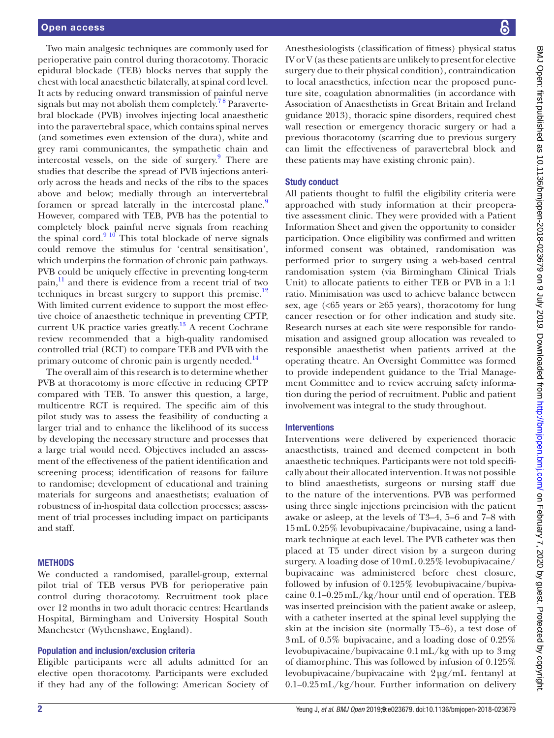Two main analgesic techniques are commonly used for perioperative pain control during thoracotomy. Thoracic epidural blockade (TEB) blocks nerves that supply the chest with local anaesthetic bilaterally, at spinal cord level. It acts by reducing onward transmission of painful nerve signals but may not abolish them completely.<sup>78</sup> Paravertebral blockade (PVB) involves injecting local anaesthetic into the paravertebral space, which contains spinal nerves (and sometimes even extension of the dura), white and grey rami communicantes, the sympathetic chain and intercostal vessels, on the side of surgery.<sup>[9](#page-10-5)</sup> There are studies that describe the spread of PVB injections anteriorly across the heads and necks of the ribs to the spaces above and below; medially through an intervertebral foramen or spread laterally in the intercostal plane.<sup>[9](#page-10-5)</sup> However, compared with TEB, PVB has the potential to completely block painful nerve signals from reaching the spinal cord. $910$  This total blockade of nerve signals could remove the stimulus for 'central sensitisation', which underpins the formation of chronic pain pathways. PVB could be uniquely effective in preventing long-term pain, $\frac{11}{11}$  $\frac{11}{11}$  $\frac{11}{11}$  and there is evidence from a recent trial of two techniques in breast surgery to support this premise.<sup>12</sup> With limited current evidence to support the most effective choice of anaesthetic technique in preventing CPTP, current UK practice varies greatly.<sup>13</sup> A recent Cochrane review recommended that a high-quality randomised controlled trial (RCT) to compare TEB and PVB with the primary outcome of chronic pain is urgently needed.<sup>14</sup>

The overall aim of this research is to determine whether PVB at thoracotomy is more effective in reducing CPTP compared with TEB. To answer this question, a large, multicentre RCT is required. The specific aim of this pilot study was to assess the feasibility of conducting a larger trial and to enhance the likelihood of its success by developing the necessary structure and processes that a large trial would need. Objectives included an assessment of the effectiveness of the patient identification and screening process; identification of reasons for failure to randomise; development of educational and training materials for surgeons and anaesthetists; evaluation of robustness of in-hospital data collection processes; assessment of trial processes including impact on participants and staff.

## **METHODS**

We conducted a randomised, parallel-group, external pilot trial of TEB versus PVB for perioperative pain control during thoracotomy. Recruitment took place over 12 months in two adult thoracic centres: Heartlands Hospital, Birmingham and University Hospital South Manchester (Wythenshawe, England).

## Population and inclusion/exclusion criteria

Eligible participants were all adults admitted for an elective open thoracotomy. Participants were excluded if they had any of the following: American Society of Anesthesiologists (classification of fitness) physical status IV or V (as these patients are unlikely to present for elective surgery due to their physical condition), contraindication to local anaesthetics, infection near the proposed puncture site, coagulation abnormalities (in accordance with Association of Anaesthetists in Great Britain and Ireland guidance 2013), thoracic spine disorders, required chest wall resection or emergency thoracic surgery or had a previous thoracotomy (scarring due to previous surgery can limit the effectiveness of paravertebral block and these patients may have existing chronic pain).

## Study conduct

All patients thought to fulfil the eligibility criteria were approached with study information at their preoperative assessment clinic. They were provided with a Patient Information Sheet and given the opportunity to consider participation. Once eligibility was confirmed and written informed consent was obtained, randomisation was performed prior to surgery using a web-based central randomisation system (via Birmingham Clinical Trials Unit) to allocate patients to either TEB or PVB in a 1:1 ratio. Minimisation was used to achieve balance between sex, age  $\left( \langle 65 \rangle \right)$  years or  $\geq 65$  years), thoracotomy for lung cancer resection or for other indication and study site. Research nurses at each site were responsible for randomisation and assigned group allocation was revealed to responsible anaesthetist when patients arrived at the operating theatre. An Oversight Committee was formed to provide independent guidance to the Trial Management Committee and to review accruing safety information during the period of recruitment. Public and patient involvement was integral to the study throughout.

## **Interventions**

Interventions were delivered by experienced thoracic anaesthetists, trained and deemed competent in both anaesthetic techniques. Participants were not told specifically about their allocated intervention. It was not possible to blind anaesthetists, surgeons or nursing staff due to the nature of the interventions. PVB was performed using three single injections preincision with the patient awake or asleep, at the levels of T3–4, 5–6 and 7–8 with 15mL 0.25% levobupivacaine/bupivacaine, using a landmark technique at each level. The PVB catheter was then placed at T5 under direct vision by a surgeon during surgery. A loading dose of 10mL 0.25% levobupivacaine/ bupivacaine was administered before chest closure, followed by infusion of 0.125% levobupivacaine/bupivacaine 0.1–0.25mL/kg/hour until end of operation. TEB was inserted preincision with the patient awake or asleep, with a catheter inserted at the spinal level supplying the skin at the incision site (normally T5–6), a test dose of 3mL of 0.5% bupivacaine, and a loading dose of 0.25% levobupivacaine/bupivacaine 0.1mL/kg with up to 3mg of diamorphine. This was followed by infusion of 0.125% levobupivacaine/bupivacaine with 2µg/mL fentanyl at 0.1–0.25mL/kg/hour. Further information on delivery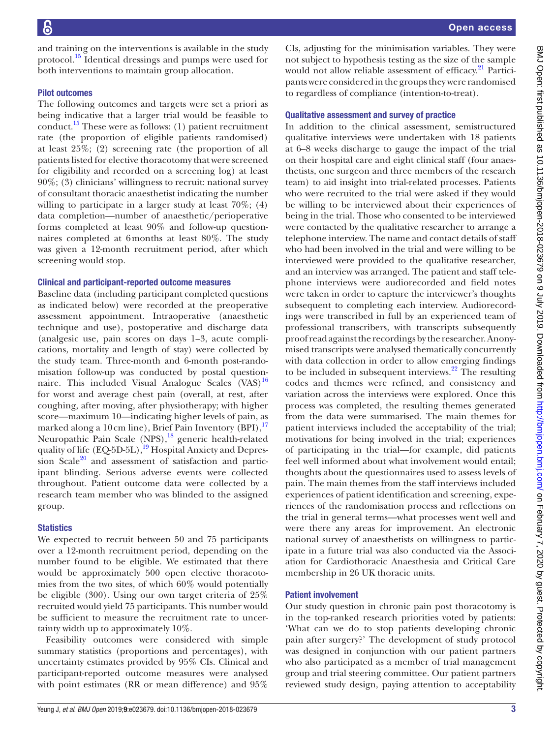and training on the interventions is available in the study protocol[.15](#page-10-10) Identical dressings and pumps were used for both interventions to maintain group allocation.

## Pilot outcomes

The following outcomes and targets were set a priori as being indicative that a larger trial would be feasible to conduct.[15](#page-10-10) These were as follows: (1) patient recruitment rate (the proportion of eligible patients randomised) at least 25%; (2) screening rate (the proportion of all patients listed for elective thoracotomy that were screened for eligibility and recorded on a screening log) at least 90%; (3) clinicians' willingness to recruit: national survey of consultant thoracic anaesthetist indicating the number willing to participate in a larger study at least 70%; (4) data completion—number of anaesthetic/perioperative forms completed at least 90% and follow-up questionnaires completed at 6months at least 80%. The study was given a 12-month recruitment period, after which screening would stop.

## Clinical and participant-reported outcome measures

Baseline data (including participant completed questions as indicated below) were recorded at the preoperative assessment appointment. Intraoperative (anaesthetic technique and use), postoperative and discharge data (analgesic use, pain scores on days 1–3, acute complications, mortality and length of stay) were collected by the study team. Three-month and 6-month post-randomisation follow-up was conducted by postal questionnaire. This included Visual Analogue Scales  $(VAS)^{16}$  $(VAS)^{16}$  $(VAS)^{16}$ for worst and average chest pain (overall, at rest, after coughing, after moving, after physiotherapy; with higher score—maximum 10—indicating higher levels of pain, as marked along a 10cm line), Brief Pain Inventory (BPI),<sup>[17](#page-10-12)</sup> Neuropathic Pain Scale (NPS),<sup>18</sup> generic health-related quality of life (EQ-5D-5L),<sup>[19](#page-10-14)</sup> Hospital Anxiety and Depression Scale $^{20}$  and assessment of satisfaction and participant blinding. Serious adverse events were collected throughout. Patient outcome data were collected by a research team member who was blinded to the assigned group.

## **Statistics**

We expected to recruit between 50 and 75 participants over a 12-month recruitment period, depending on the number found to be eligible. We estimated that there would be approximately 500 open elective thoracotomies from the two sites, of which 60% would potentially be eligible (300). Using our own target criteria of 25% recruited would yield 75 participants. This number would be sufficient to measure the recruitment rate to uncertainty width up to approximately 10%.

Feasibility outcomes were considered with simple summary statistics (proportions and percentages), with uncertainty estimates provided by 95% CIs. Clinical and participant-reported outcome measures were analysed with point estimates (RR or mean difference) and 95%

CIs, adjusting for the minimisation variables. They were not subject to hypothesis testing as the size of the sample would not allow reliable assessment of efficacy.<sup>21</sup> Participants were considered in the groups they were randomised to regardless of compliance (intention-to-treat).

## Qualitative assessment and survey of practice

In addition to the clinical assessment, semistructured qualitative interviews were undertaken with 18 patients at 6–8 weeks discharge to gauge the impact of the trial on their hospital care and eight clinical staff (four anaesthetists, one surgeon and three members of the research team) to aid insight into trial-related processes. Patients who were recruited to the trial were asked if they would be willing to be interviewed about their experiences of being in the trial. Those who consented to be interviewed were contacted by the qualitative researcher to arrange a telephone interview. The name and contact details of staff who had been involved in the trial and were willing to be interviewed were provided to the qualitative researcher, and an interview was arranged. The patient and staff telephone interviews were audiorecorded and field notes were taken in order to capture the interviewer's thoughts subsequent to completing each interview. Audiorecordings were transcribed in full by an experienced team of professional transcribers, with transcripts subsequently proof read against the recordings by the researcher. Anonymised transcripts were analysed thematically concurrently with data collection in order to allow emerging findings to be included in subsequent interviews. $^{22}$  The resulting codes and themes were refined, and consistency and variation across the interviews were explored. Once this process was completed, the resulting themes generated from the data were summarised. The main themes for patient interviews included the acceptability of the trial; motivations for being involved in the trial; experiences of participating in the trial—for example, did patients feel well informed about what involvement would entail; thoughts about the questionnaires used to assess levels of pain. The main themes from the staff interviews included experiences of patient identification and screening, experiences of the randomisation process and reflections on the trial in general terms—what processes went well and were there any areas for improvement. An electronic national survey of anaesthetists on willingness to participate in a future trial was also conducted via the Association for Cardiothoracic Anaesthesia and Critical Care membership in 26 UK thoracic units.

## Patient involvement

Our study question in chronic pain post thoracotomy is in the top-ranked research priorities voted by patients: 'What can we do to stop patients developing chronic pain after surgery?' The development of study protocol was designed in conjunction with our patient partners who also participated as a member of trial management group and trial steering committee. Our patient partners reviewed study design, paying attention to acceptability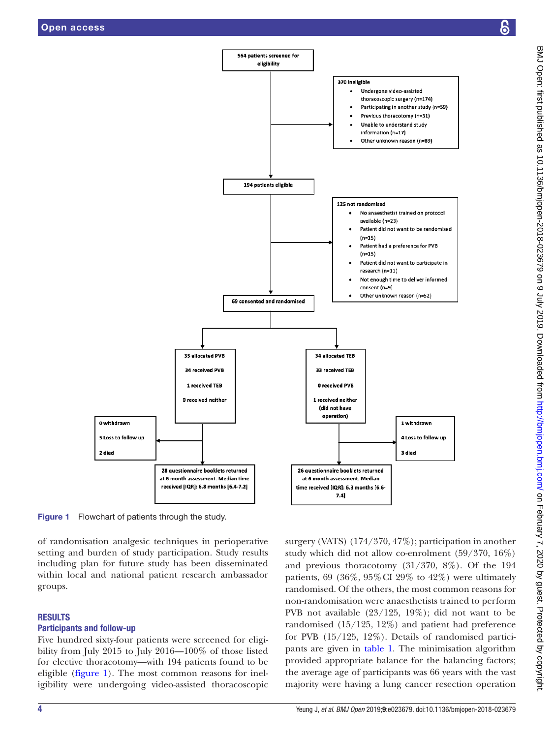

<span id="page-3-0"></span>Figure 1 Flowchart of patients through the study.

of randomisation analgesic techniques in perioperative setting and burden of study participation. Study results including plan for future study has been disseminated within local and national patient research ambassador groups.

## **RESULTS**

# Participants and follow-up

Five hundred sixty-four patients were screened for eligibility from July 2015 to July 2016—100% of those listed for elective thoracotomy—with 194 patients found to be eligible ([figure](#page-3-0) 1). The most common reasons for ineligibility were undergoing video-assisted thoracoscopic

surgery (VATS) (174/370, 47%); participation in another study which did not allow co-enrolment (59/370, 16%) and previous thoracotomy (31/370, 8%). Of the 194 patients, 69 (36%, 95%CI 29% to 42%) were ultimately randomised. Of the others, the most common reasons for non-randomisation were anaesthetists trained to perform PVB not available (23/125, 19%); did not want to be randomised (15/125, 12%) and patient had preference for PVB (15/125, 12%). Details of randomised participants are given in [table](#page-4-0) 1. The minimisation algorithm provided appropriate balance for the balancing factors; the average age of participants was 66 years with the vast majority were having a lung cancer resection operation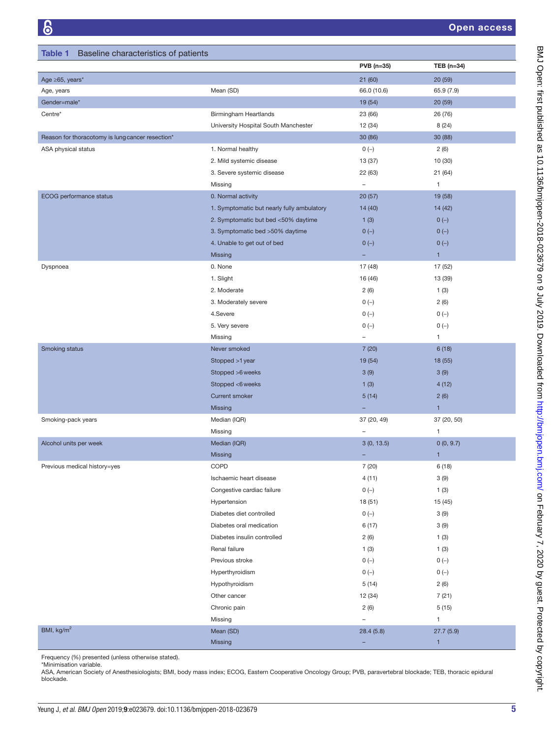<span id="page-4-0"></span>

| Baseline characteristics of patients<br><b>Table 1</b> |                                            |                          |              |  |
|--------------------------------------------------------|--------------------------------------------|--------------------------|--------------|--|
|                                                        |                                            | <b>PVB (n=35)</b>        | TEB (n=34)   |  |
| Age ≥65, years*                                        |                                            | 21(60)                   | 20 (59)      |  |
| Age, years                                             | Mean (SD)                                  | 66.0 (10.6)              | 65.9 (7.9)   |  |
| Gender=male*                                           |                                            | 19 (54)                  | 20(59)       |  |
| Centre*                                                | <b>Birmingham Heartlands</b>               | 23 (66)                  | 26 (76)      |  |
|                                                        | University Hospital South Manchester       | 12 (34)                  | 8(24)        |  |
| Reason for thoracotomy is lung cancer resection*       |                                            | 30 (86)                  | 30 (88)      |  |
| ASA physical status                                    | 1. Normal healthy                          | $0(-)$                   | 2(6)         |  |
|                                                        | 2. Mild systemic disease                   | 13 (37)                  | 10 (30)      |  |
|                                                        | 3. Severe systemic disease                 | 22 (63)                  | 21 (64)      |  |
|                                                        | Missing                                    | $\overline{\phantom{a}}$ | $\mathbf{1}$ |  |
| ECOG performance status                                | 0. Normal activity                         | 20(57)                   | 19 (58)      |  |
|                                                        | 1. Symptomatic but nearly fully ambulatory | 14 (40)                  | 14 (42)      |  |
|                                                        | 2. Symptomatic but bed <50% daytime        | 1(3)                     | $0(-)$       |  |
|                                                        | 3. Symptomatic bed > 50% daytime           | $0(-)$                   | $0(-)$       |  |
|                                                        | 4. Unable to get out of bed                | $0(-)$                   | $0(-)$       |  |
|                                                        | <b>Missing</b>                             |                          | $\mathbf{1}$ |  |
| Dyspnoea                                               | 0. None                                    | 17 (48)                  | 17 (52)      |  |
|                                                        | 1. Slight                                  | 16 (46)                  | 13 (39)      |  |
|                                                        | 2. Moderate                                | 2(6)                     | 1(3)         |  |
|                                                        | 3. Moderately severe                       | $0(-)$                   | 2(6)         |  |
|                                                        | 4.Severe                                   | $0(-)$                   | $0(-)$       |  |
|                                                        | 5. Very severe                             | $0(-)$                   | $0(-)$       |  |
|                                                        | Missing                                    | $\overline{\phantom{0}}$ | 1            |  |
| Smoking status                                         | Never smoked                               | 7(20)                    | 6(18)        |  |
|                                                        | Stopped >1 year                            | 19 (54)                  | 18 (55)      |  |
|                                                        | Stopped >6 weeks                           | 3(9)                     | 3(9)         |  |
|                                                        | Stopped <6 weeks                           | 1(3)                     | 4(12)        |  |
|                                                        | <b>Current smoker</b>                      | 5(14)                    | 2(6)         |  |
|                                                        | <b>Missing</b>                             | -                        | 1            |  |
| Smoking-pack years                                     | Median (IQR)                               | 37 (20, 49)              | 37 (20, 50)  |  |
|                                                        | Missing                                    | $\qquad \qquad -$        | $\mathbf{1}$ |  |
| Alcohol units per week                                 | Median (IQR)                               | 3(0, 13.5)               | 0(0, 9.7)    |  |
|                                                        | <b>Missing</b>                             |                          | 1            |  |
| Previous medical history=yes                           | COPD                                       | 7(20)                    | 6(18)        |  |
|                                                        | Ischaemic heart disease                    | 4(11)                    | 3(9)         |  |
|                                                        | Congestive cardiac failure                 | $0(-)$                   | 1(3)         |  |
|                                                        | Hypertension                               | 18 (51)                  | 15(45)       |  |
|                                                        | Diabetes diet controlled                   | $0(-)$                   | 3(9)         |  |
|                                                        | Diabetes oral medication                   | 6(17)                    | 3(9)         |  |
|                                                        | Diabetes insulin controlled                | 2(6)                     | 1(3)         |  |
|                                                        | Renal failure                              | 1(3)                     | 1(3)         |  |
|                                                        | Previous stroke                            | $0(-)$                   | $0(-)$       |  |
|                                                        | Hyperthyroidism                            | $0(-)$                   | $0 (-)$      |  |
|                                                        | Hypothyroidism                             | 5(14)                    | 2(6)         |  |
|                                                        | Other cancer                               | 12 (34)                  | 7(21)        |  |
|                                                        | Chronic pain                               | 2(6)                     | 5(15)        |  |
|                                                        | Missing                                    | $\overline{a}$           | $\mathbf{1}$ |  |
| BMI, kg/m <sup>2</sup>                                 | Mean (SD)                                  | 28.4(5.8)                | 27.7(5.9)    |  |
|                                                        | Missing                                    | -                        | $\mathbf{1}$ |  |

Frequency (%) presented (unless otherwise stated).

\*Minimisation variable.

ASA, American Society of Anesthesiologists; BMI, body mass index; ECOG, Eastern Cooperative Oncology Group; PVB, paravertebral blockade; TEB, thoracic epidural blockade.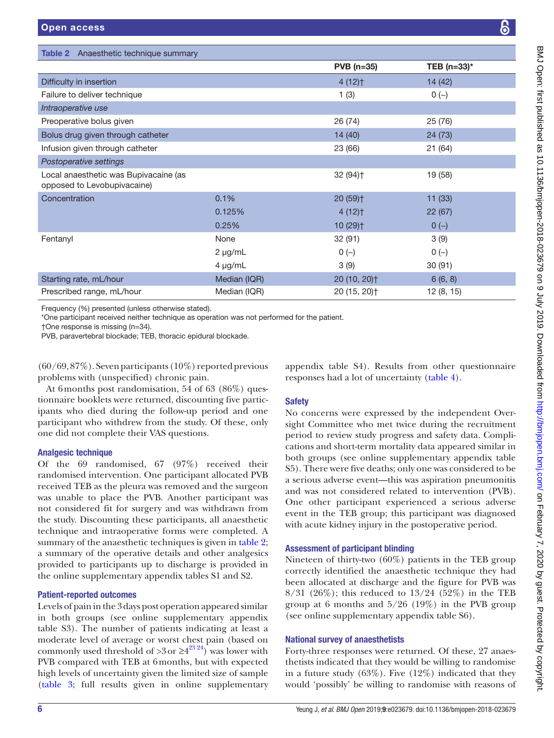<span id="page-5-0"></span>

| UPUL dUCUSS                                                          |              |                          |                | K |
|----------------------------------------------------------------------|--------------|--------------------------|----------------|---|
| Table 2 Anaesthetic technique summary                                |              |                          |                |   |
|                                                                      |              | $PVB$ (n=35)             | TEB $(n=33)^*$ |   |
| Difficulty in insertion                                              |              | $4(12)$ <sup>+</sup>     | 14 (42)        |   |
| Failure to deliver technique                                         |              | 1(3)                     | $0(-)$         |   |
| Intraoperative use                                                   |              |                          |                |   |
| Preoperative bolus given                                             |              | 26 (74)                  | 25 (76)        |   |
| Bolus drug given through catheter                                    |              | 14 (40)                  | 24(73)         |   |
| Infusion given through catheter                                      |              | 23 (66)                  | 21(64)         |   |
| Postoperative settings                                               |              |                          |                |   |
| Local anaesthetic was Bupivacaine (as<br>opposed to Levobupivacaine) |              | 32 (94) <sup>+</sup>     | 19 (58)        |   |
| Concentration                                                        | 0.1%         | 20 (59) <sup>+</sup>     | 11(33)         |   |
|                                                                      | 0.125%       | $4(12)$ <sup>+</sup>     | 22(67)         |   |
|                                                                      | 0.25%        | 10 (29) <sup>+</sup>     | $0(-)$         |   |
| Fentanyl                                                             | None         | 32(91)                   | 3(9)           |   |
|                                                                      | $2 \mu g/mL$ | $0(-)$                   | $0(-)$         |   |
|                                                                      | 4 µg/mL      | 3(9)                     | 30(91)         |   |
| Starting rate, mL/hour                                               | Median (IQR) | 20 (10, 20) <sup>+</sup> | 6(6, 8)        |   |
| Prescribed range, mL/hour                                            | Median (IQR) | 20 (15, 20) <sup>+</sup> | 12 (8, 15)     |   |

Frequency (%) presented (unless otherwise stated).

\*One participant received neither technique as operation was not performed for the patient.

†One response is missing (n=34).

PVB, paravertebral blockade; TEB, thoracic epidural blockade.

(60/69, 87%). Seven participants (10%) reported previous problems with (unspecified) chronic pain.

At 6months post randomisation, 54 of 63 (86%) questionnaire booklets were returned, discounting five participants who died during the follow-up period and one participant who withdrew from the study. Of these, only one did not complete their VAS questions.

## Analgesic technique

Of the 69 randomised, 67 (97%) received their randomised intervention. One participant allocated PVB received TEB as the pleura was removed and the surgeon was unable to place the PVB. Another participant was not considered fit for surgery and was withdrawn from the study. Discounting these participants, all anaesthetic technique and intraoperative forms were completed. A summary of the anaesthetic techniques is given in [table](#page-5-0) 2; a summary of the operative details and other analgesics provided to participants up to discharge is provided in the online [supplementary appendix tables S1 and S2](https://dx.doi.org/10.1136/bmjopen-2018-023679).

## Patient-reported outcomes

Levels of pain in the 3days post operation appeared similar in both groups (see online [supplementary appendix](https://dx.doi.org/10.1136/bmjopen-2018-023679) [table S3](https://dx.doi.org/10.1136/bmjopen-2018-023679)). The number of patients indicating at least a moderate level of average or worst chest pain (based on commonly used threshold of >3 or  $\geq 4^{23\cdot 24}$ ) was lower with PVB compared with TEB at 6months, but with expected high levels of uncertainty given the limited size of sample ([table](#page-6-0) 3; full results given in online [supplementary](https://dx.doi.org/10.1136/bmjopen-2018-023679)

[appendix table S4\)](https://dx.doi.org/10.1136/bmjopen-2018-023679). Results from other questionnaire responses had a lot of uncertainty [\(table](#page-7-0) 4).

## **Safety**

No concerns were expressed by the independent Oversight Committee who met twice during the recruitment period to review study progress and safety data. Complications and short-term mortality data appeared similar in both groups (see online [supplementary appendix table](https://dx.doi.org/10.1136/bmjopen-2018-023679)  [S5](https://dx.doi.org/10.1136/bmjopen-2018-023679)). There were five deaths; only one was considered to be a serious adverse event—this was aspiration pneumonitis and was not considered related to intervention (PVB). One other participant experienced a serious adverse event in the TEB group; this participant was diagnosed with acute kidney injury in the postoperative period.

## Assessment of participant blinding

Nineteen of thirty-two (60%) patients in the TEB group correctly identified the anaesthetic technique they had been allocated at discharge and the figure for PVB was 8/31 (26%); this reduced to 13/24 (52%) in the TEB group at 6 months and 5/26 (19%) in the PVB group (see online [supplementary appendix table S6\)](https://dx.doi.org/10.1136/bmjopen-2018-023679).

## National survey of anaesthetists

Forty-three responses were returned. Of these, 27 anaesthetists indicated that they would be willing to randomise in a future study  $(63\%)$ . Five  $(12\%)$  indicated that they would 'possibly' be willing to randomise with reasons of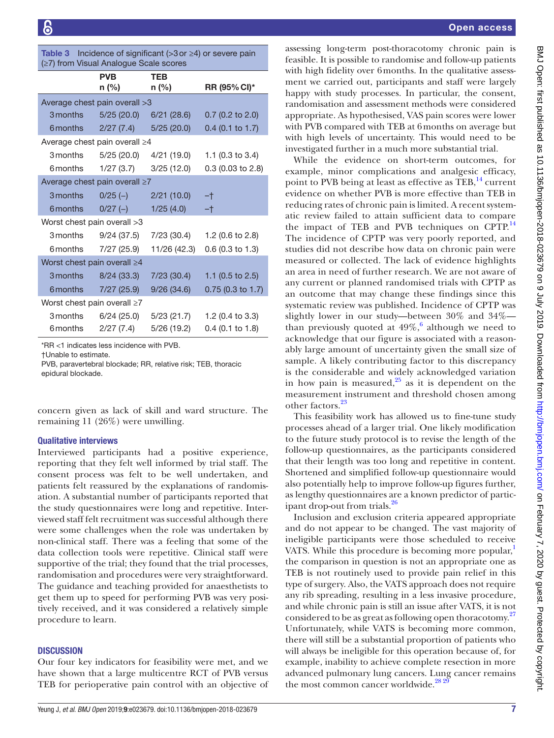<span id="page-6-0"></span>

| <b>Table 3</b> Incidence of significant $(>3$ or $\geq 4)$ or severe pain |
|---------------------------------------------------------------------------|
| $(\geq)$ from Visual Analogue Scale scores                                |

|                               | <b>PVB</b><br>n (%)  | <b>TEB</b><br>n (%) | RR (95% CI)*                |
|-------------------------------|----------------------|---------------------|-----------------------------|
| Average chest pain overall >3 |                      |                     |                             |
| 3 months                      | 5/25(20.0)           | 6/21(28.6)          | $0.7$ (0.2 to 2.0)          |
|                               | 6 months 2/27 (7.4)  | 5/25(20.0)          | $0.4$ (0.1 to 1.7)          |
| Average chest pain overall ≥4 |                      |                     |                             |
|                               | 3 months 5/25 (20.0) | 4/21 (19.0)         | 1.1 $(0.3 \text{ to } 3.4)$ |
|                               | 6 months 1/27 (3.7)  | 3/25(12.0)          | 0.3 (0.03 to 2.8)           |
| Average chest pain overall ≥7 |                      |                     |                             |
| 3 months                      | $0/25$ (-)           | 2/21(10.0)          | -†                          |
| 6 months                      | $0/27$ (-)           | 1/25(4.0)           | -†                          |
| Worst chest pain overall >3   |                      |                     |                             |
|                               | 3 months 9/24 (37.5) | 7/23 (30.4)         | 1.2 (0.6 to 2.8)            |
|                               | 6 months 7/27 (25.9) | 11/26 (42.3)        | $0.6$ (0.3 to 1.3)          |
| Worst chest pain overall ≥4   |                      |                     |                             |
| 3 months                      | 8/24(33.3)           | 7/23(30.4)          | 1.1 $(0.5 \text{ to } 2.5)$ |
| 6 months                      | 7/27(25.9)           | 9/26(34.6)          | $0.75$ (0.3 to 1.7)         |
| Worst chest pain overall ≥7   |                      |                     |                             |
| 3 months                      | 6/24(25.0)           | 5/23 (21.7)         | 1.2 $(0.4 \text{ to } 3.3)$ |
| 6 months                      | 2/27(7.4)            | 5/26 (19.2)         | $0.4$ (0.1 to 1.8)          |

\*RR <1 indicates less incidence with PVB.

†Unable to estimate.

PVB, paravertebral blockade; RR, relative risk; TEB, thoracic epidural blockade.

concern given as lack of skill and ward structure. The remaining 11 (26%) were unwilling.

#### Qualitative interviews

Interviewed participants had a positive experience, reporting that they felt well informed by trial staff. The consent process was felt to be well undertaken, and patients felt reassured by the explanations of randomisation. A substantial number of participants reported that the study questionnaires were long and repetitive. Interviewed staff felt recruitment was successful although there were some challenges when the role was undertaken by non-clinical staff. There was a feeling that some of the data collection tools were repetitive. Clinical staff were supportive of the trial; they found that the trial processes, randomisation and procedures were very straightforward. The guidance and teaching provided for anaesthetists to get them up to speed for performing PVB was very positively received, and it was considered a relatively simple procedure to learn.

## **DISCUSSION**

Our four key indicators for feasibility were met, and we have shown that a large multicentre RCT of PVB versus TEB for perioperative pain control with an objective of

assessing long-term post-thoracotomy chronic pain is feasible. It is possible to randomise and follow-up patients with high fidelity over 6 months. In the qualitative assessment we carried out, participants and staff were largely happy with study processes. In particular, the consent, randomisation and assessment methods were considered appropriate. As hypothesised, VAS pain scores were lower with PVB compared with TEB at 6months on average but with high levels of uncertainty. This would need to be investigated further in a much more substantial trial.

While the evidence on short-term outcomes, for example, minor complications and analgesic efficacy, point to PVB being at least as effective as  $TEB$ ,  $^{14}$  current evidence on whether PVB is more effective than TEB in reducing rates of chronic pain is limited. A recent systematic review failed to attain sufficient data to compare the impact of TEB and PVB techniques on CPTP. $^{14}$  $^{14}$  $^{14}$ The incidence of CPTP was very poorly reported, and studies did not describe how data on chronic pain were measured or collected. The lack of evidence highlights an area in need of further research. We are not aware of any current or planned randomised trials with CPTP as an outcome that may change these findings since this systematic review was published. Incidence of CPTP was slightly lower in our study—between 30% and 34% than previously quoted at  $49\%$ , although we need to acknowledge that our figure is associated with a reasonably large amount of uncertainty given the small size of sample. A likely contributing factor to this discrepancy is the considerable and widely acknowledged variation in how pain is measured, $25$  as it is dependent on the measurement instrument and threshold chosen among other factors.<sup>[23](#page-10-18)</sup>

This feasibility work has allowed us to fine-tune study processes ahead of a larger trial. One likely modification to the future study protocol is to revise the length of the follow-up questionnaires, as the participants considered that their length was too long and repetitive in content. Shortened and simplified follow-up questionnaire would also potentially help to improve follow-up figures further, as lengthy questionnaires are a known predictor of partic-ipant drop-out from trials.<sup>[26](#page-10-20)</sup>

Inclusion and exclusion criteria appeared appropriate and do not appear to be changed. The vast majority of ineligible participants were those scheduled to receive VATS. While this procedure is becoming more popular, $\frac{1}{1}$ the comparison in question is not an appropriate one as TEB is not routinely used to provide pain relief in this type of surgery. Also, the VATS approach does not require any rib spreading, resulting in a less invasive procedure, and while chronic pain is still an issue after VATS, it is not considered to be as great as following open thoracotomy.<sup>[27](#page-10-21)</sup> Unfortunately, while VATS is becoming more common, there will still be a substantial proportion of patients who will always be ineligible for this operation because of, for example, inability to achieve complete resection in more advanced pulmonary lung cancers. Lung cancer remains the most common cancer worldwide. $28\frac{29}{29}$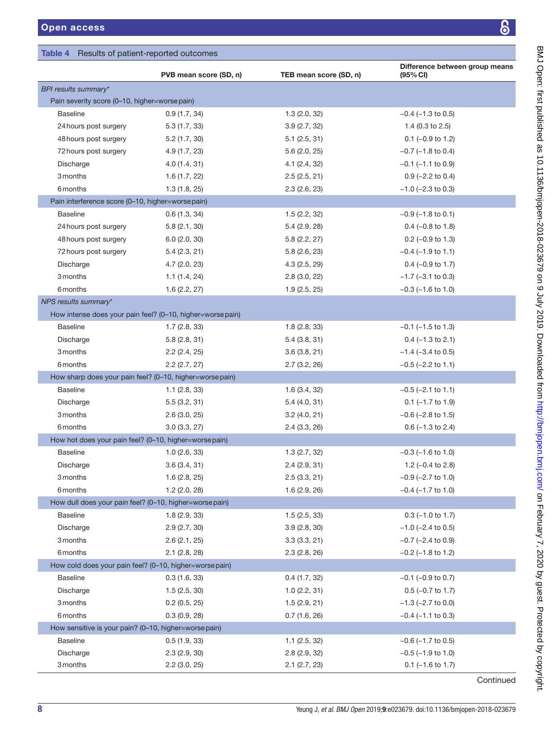<span id="page-7-0"></span>Table 4 Results of patient-reported outcomes

|                                                         | PVB mean score (SD, n)                                     | TEB mean score (SD, n) | Difference between group means<br>(95% CI) |
|---------------------------------------------------------|------------------------------------------------------------|------------------------|--------------------------------------------|
| <b>BPI results summary*</b>                             |                                                            |                        |                                            |
| Pain severity score (0-10, higher=worse pain)           |                                                            |                        |                                            |
| <b>Baseline</b>                                         | 0.9(1.7, 34)                                               | 1.3(2.0, 32)           | $-0.4$ ( $-1.3$ to 0.5)                    |
| 24 hours post surgery                                   | 5.3(1.7, 33)                                               | 3.9(2.7, 32)           | 1.4 $(0.3 \text{ to } 2.5)$                |
| 48 hours post surgery                                   | 5.2(1.7, 30)                                               | 5.1(2.5, 31)           | $0.1$ (-0.9 to 1.2)                        |
| 72 hours post surgery                                   | 4.9 (1.7, 23)                                              | 5.6(2.0, 25)           | $-0.7$ ( $-1.8$ to 0.4)                    |
| Discharge                                               | 4.0(1.4, 31)                                               | 4.1(2.4, 32)           | $-0.1$ ( $-1.1$ to 0.9)                    |
| 3 months                                                | 1.6(1.7, 22)                                               | 2.5(2.5, 21)           | $0.9$ (-2.2 to 0.4)                        |
| 6 months                                                | 1.3(1.8, 25)                                               | 2.3(2.6, 23)           | $-1.0$ ( $-2.3$ to 0.3)                    |
| Pain interference score (0-10, higher=worse pain)       |                                                            |                        |                                            |
| <b>Baseline</b>                                         | 0.6(1.3, 34)                                               | 1.5(2.2, 32)           | $-0.9$ ( $-1.8$ to 0.1)                    |
| 24 hours post surgery                                   | 5.8(2.1, 30)                                               | 5.4(2.9, 28)           | $0.4$ (-0.8 to 1.8)                        |
| 48 hours post surgery                                   | 6.0(2.0, 30)                                               | 5.8(2.2, 27)           | $0.2$ (-0.9 to 1.3)                        |
| 72 hours post surgery                                   | 5.4(2.3, 21)                                               | 5.8(2.6, 23)           | $-0.4$ ( $-1.9$ to 1.1)                    |
| Discharge                                               | 4.7(2.0, 23)                                               | 4.3(2.5, 29)           | $0.4$ (-0.9 to 1.7)                        |
| 3 months                                                | 1.1(1.4, 24)                                               | 2.8(3.0, 22)           | $-1.7$ ( $-3.1$ to 0.3)                    |
| 6 months                                                | 1.6(2.2, 27)                                               | 1.9(2.5, 25)           | $-0.3$ ( $-1.6$ to 1.0)                    |
| NPS results summary*                                    |                                                            |                        |                                            |
|                                                         | How intense does your pain feel? (0-10, higher=worse pain) |                        |                                            |
| <b>Baseline</b>                                         | 1.7(2.8, 33)                                               | 1.8(2.8, 33)           | $-0.1$ ( $-1.5$ to 1.3)                    |
| Discharge                                               | 5.8(2.8, 31)                                               | 5.4(3.8, 31)           | $0.4$ (-1.3 to 2.1)                        |
| 3 months                                                | 2.2(2.4, 25)                                               | 3.6(3.8, 21)           | $-1.4$ ( $-3.4$ to 0.5)                    |
| 6 months                                                | 2.2(2.7, 27)                                               | 2.7(3.2, 26)           | $-0.5$ ( $-2.2$ to 1.1)                    |
|                                                         | How sharp does your pain feel? (0-10, higher=worse pain)   |                        |                                            |
| <b>Baseline</b>                                         | $1.1$ (2.8, 33)                                            | 1.6(3.4, 32)           | $-0.5$ ( $-2.1$ to 1.1)                    |
| Discharge                                               | 5.5(3.2, 31)                                               | 5.4(4.0, 31)           | $0.1$ (-1.7 to 1.9)                        |
| 3 months                                                | 2.6(3.0, 25)                                               | 3.2(4.0, 21)           | $-0.6$ ( $-2.8$ to 1.5)                    |
| 6 months                                                | 3.0(3.3, 27)                                               | 2.4(3.3, 26)           | $0.6$ (-1.3 to 2.4)                        |
| How hot does your pain feel? (0-10, higher=worse pain)  |                                                            |                        |                                            |
| <b>Baseline</b>                                         | 1.0(2.6, 33)                                               | 1.3(2.7, 32)           | $-0.3$ ( $-1.6$ to 1.0)                    |
| Discharge                                               | 3.6(3.4, 31)                                               | 2.4(2.9, 31)           | 1.2 $(-0.4 \text{ to } 2.8)$               |
| 3 months                                                | 1.6(2.8, 25)                                               | 2.5(3.3, 21)           | $-0.9$ ( $-2.7$ to 1.0)                    |
| 6 months                                                | $1.2$ (2.0, 28)                                            | 1.6(2.9, 26)           | $-0.4$ ( $-1.7$ to 1.0)                    |
| How dull does your pain feel? (0-10, higher=worse pain) |                                                            |                        |                                            |
| <b>Baseline</b>                                         | 1.8(2.9, 33)                                               | 1.5(2.5, 33)           | $0.3$ (-1.0 to 1.7)                        |
| Discharge                                               | 2.9(2.7, 30)                                               | 3.9(2.8, 30)           | $-1.0$ ( $-2.4$ to 0.5)                    |
| 3 months                                                | 2.6(2.1, 25)                                               | 3.3(3.3, 21)           | $-0.7$ ( $-2.4$ to 0.9)                    |
| 6 months                                                | $2.1$ (2.8, 28)                                            | 2.3(2.8, 26)           | $-0.2$ ( $-1.8$ to 1.2)                    |
| How cold does your pain feel? (0-10, higher=worse pain) |                                                            |                        |                                            |
| <b>Baseline</b>                                         | 0.3(1.6, 33)                                               | 0.4(1.7, 32)           | $-0.1$ ( $-0.9$ to 0.7)                    |
| Discharge                                               | 1.5(2.5, 30)                                               | 1.0(2.2, 31)           | $0.5$ (-0.7 to 1.7)                        |
| 3 months                                                | 0.2(0.5, 25)                                               | 1.5(2.9, 21)           | $-1.3$ ( $-2.7$ to 0.0)                    |
| 6 months                                                | 0.3(0.9, 28)                                               | 0.7(1.6, 26)           | $-0.4$ ( $-1.1$ to 0.3)                    |
| How sensitive is your pain? (0-10, higher=worse pain)   |                                                            |                        |                                            |
| <b>Baseline</b>                                         | 0.5(1.9, 33)                                               | 1.1(2.5, 32)           | $-0.6$ ( $-1.7$ to 0.5)                    |
| Discharge                                               | 2.3(2.9, 30)                                               | 2.8(2.9, 32)           | $-0.5$ ( $-1.9$ to 1.0)                    |

3 months 2.2 (3.0, 25) 2.1 (2.7, 23) 0.1 (−1.6 to 1.7)

၆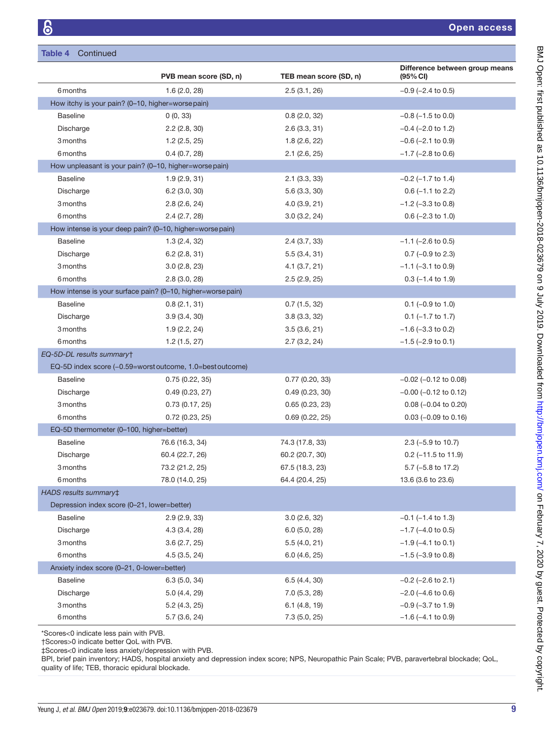| Continued<br>Table 4 |
|----------------------|
|----------------------|

|                                                  | PVB mean score (SD, n)                                      | TEB mean score (SD, n) | Difference between group means<br>(95% CI) |
|--------------------------------------------------|-------------------------------------------------------------|------------------------|--------------------------------------------|
| 6 months                                         | 1.6(2.0, 28)                                                | 2.5(3.1, 26)           | $-0.9$ ( $-2.4$ to 0.5)                    |
| How itchy is your pain? (0-10, higher=worsepain) |                                                             |                        |                                            |
| <b>Baseline</b>                                  | 0(0, 33)                                                    | 0.8(2.0, 32)           | $-0.8$ ( $-1.5$ to 0.0)                    |
| Discharge                                        | $2.2$ (2.8, 30)                                             | 2.6(3.3, 31)           | $-0.4$ ( $-2.0$ to 1.2)                    |
| 3 months                                         | 1.2(2.5, 25)                                                | 1.8(2.6, 22)           | $-0.6$ ( $-2.1$ to 0.9)                    |
| 6 months                                         | 0.4(0.7, 28)                                                | $2.1$ (2.6, 25)        | $-1.7$ ( $-2.8$ to 0.6)                    |
|                                                  | How unpleasant is your pain? (0-10, higher=worse pain)      |                        |                                            |
| <b>Baseline</b>                                  | 1.9(2.9, 31)                                                | $2.1$ (3.3, 33)        | $-0.2$ ( $-1.7$ to 1.4)                    |
| Discharge                                        | 6.2(3.0, 30)                                                | 5.6(3.3, 30)           | $0.6$ (-1.1 to 2.2)                        |
| 3 months                                         | 2.8(2.6, 24)                                                | 4.0(3.9, 21)           | $-1.2$ ( $-3.3$ to 0.8)                    |
| 6 months                                         | 2.4(2.7, 28)                                                | 3.0(3.2, 24)           | $0.6$ (-2.3 to 1.0)                        |
|                                                  | How intense is your deep pain? (0-10, higher=worse pain)    |                        |                                            |
| <b>Baseline</b>                                  | 1.3(2.4, 32)                                                | 2.4(3.7, 33)           | $-1.1$ ( $-2.6$ to 0.5)                    |
| Discharge                                        | 6.2(2.8, 31)                                                | 5.5(3.4, 31)           | $0.7$ (-0.9 to 2.3)                        |
| 3 months                                         | 3.0(2.8, 23)                                                | 4.1(3.7, 21)           | $-1.1$ ( $-3.1$ to 0.9)                    |
| 6 months                                         | 2.8(3.0, 28)                                                | 2.5(2.9, 25)           | $0.3$ (-1.4 to 1.9)                        |
|                                                  | How intense is your surface pain? (0-10, higher=worse pain) |                        |                                            |
| <b>Baseline</b>                                  | 0.8(2.1, 31)                                                | 0.7(1.5, 32)           | $0.1$ (-0.9 to 1.0)                        |
| Discharge                                        | 3.9(3.4, 30)                                                | 3.8(3.3, 32)           | $0.1$ (-1.7 to 1.7)                        |
| 3 months                                         | 1.9(2.2, 24)                                                | 3.5(3.6, 21)           | $-1.6$ ( $-3.3$ to 0.2)                    |
| 6 months                                         | 1.2(1.5, 27)                                                | 2.7(3.2, 24)           | $-1.5$ ( $-2.9$ to 0.1)                    |
| EQ-5D-DL results summary+                        |                                                             |                        |                                            |
|                                                  | EQ-5D index score (-0.59=worst outcome, 1.0=best outcome)   |                        |                                            |
| <b>Baseline</b>                                  | 0.75(0.22, 35)                                              | 0.77(0.20, 33)         | $-0.02$ ( $-0.12$ to 0.08)                 |
| Discharge                                        | 0.49(0.23, 27)                                              | 0.49(0.23, 30)         | $-0.00$ ( $-0.12$ to 0.12)                 |
| 3 months                                         | 0.73(0.17, 25)                                              | 0.65(0.23, 23)         | $0.08$ (-0.04 to 0.20)                     |
| 6 months                                         | 0.72(0.23, 25)                                              | 0.69(0.22, 25)         | $0.03$ (-0.09 to 0.16)                     |
| EQ-5D thermometer (0-100, higher=better)         |                                                             |                        |                                            |
| <b>Baseline</b>                                  | 76.6 (16.3, 34)                                             | 74.3 (17.8, 33)        | $2.3$ (-5.9 to 10.7)                       |
| Discharge                                        | 60.4 (22.7, 26)                                             | 60.2 (20.7, 30)        | $0.2$ (-11.5 to 11.9)                      |
| 3 months                                         | 73.2 (21.2, 25)                                             | 67.5 (18.3, 23)        | 5.7 (-5.8 to 17.2)                         |
| 6 months                                         | 78.0 (14.0, 25)                                             | 64.4 (20.4, 25)        | 13.6 (3.6 to 23.6)                         |
| HADS results summary#                            |                                                             |                        |                                            |
| Depression index score (0-21, lower=better)      |                                                             |                        |                                            |
| <b>Baseline</b>                                  | 2.9(2.9, 33)                                                | 3.0(2.6, 32)           | $-0.1$ ( $-1.4$ to 1.3)                    |
| Discharge                                        | 4.3(3.4, 28)                                                | 6.0(5.0, 28)           | $-1.7$ ( $-4.0$ to 0.5)                    |
| 3 months                                         | 3.6(2.7, 25)                                                | 5.5(4.0, 21)           | $-1.9$ ( $-4.1$ to 0.1)                    |
| 6 months                                         | 4.5(3.5, 24)                                                | 6.0(4.6, 25)           | $-1.5$ ( $-3.9$ to 0.8)                    |
| Anxiety index score (0-21, 0-lower=better)       |                                                             |                        |                                            |
| <b>Baseline</b>                                  | 6.3(5.0, 34)                                                | 6.5(4.4, 30)           | $-0.2$ ( $-2.6$ to 2.1)                    |
| Discharge                                        | 5.0(4.4, 29)                                                | 7.0(5.3, 28)           | $-2.0$ ( $-4.6$ to 0.6)                    |
| 3 months                                         | 5.2(4.3, 25)                                                | 6.1(4.8, 19)           | $-0.9$ ( $-3.7$ to 1.9)                    |
| 6 months                                         | 5.7(3.6, 24)                                                | 7.3 (5.0, 25)          | $-1.6$ ( $-4.1$ to 0.9)                    |

\*Scores<0 indicate less pain with PVB.

†Scores>0 indicate better QoL with PVB.

‡Scores<0 indicate less anxiety/depression with PVB.

BPI, brief pain inventory; HADS, hospital anxiety and depression index score; NPS, Neuropathic Pain Scale; PVB, paravertebral blockade; QoL, quality of life; TEB, thoracic epidural blockade.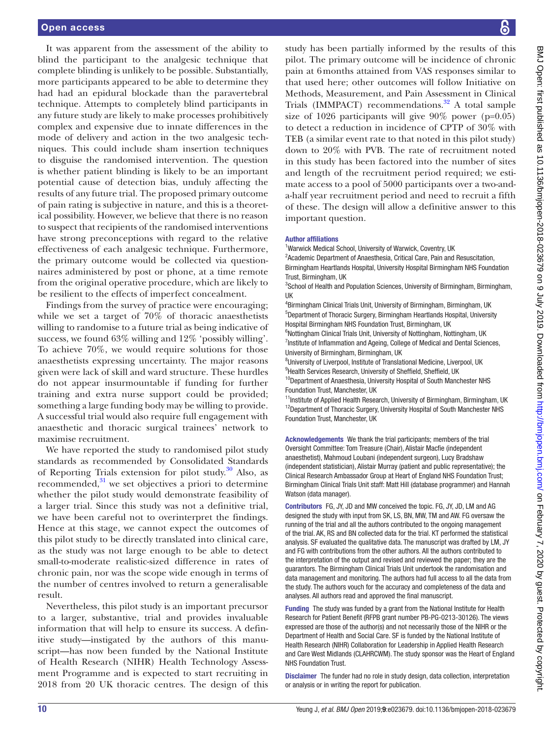It was apparent from the assessment of the ability to blind the participant to the analgesic technique that complete blinding is unlikely to be possible. Substantially, more participants appeared to be able to determine they had had an epidural blockade than the paravertebral technique. Attempts to completely blind participants in any future study are likely to make processes prohibitively complex and expensive due to innate differences in the mode of delivery and action in the two analgesic techniques. This could include sham insertion techniques to disguise the randomised intervention. The question is whether patient blinding is likely to be an important potential cause of detection bias, unduly affecting the results of any future trial. The proposed primary outcome of pain rating is subjective in nature, and this is a theoretical possibility. However, we believe that there is no reason to suspect that recipients of the randomised interventions have strong preconceptions with regard to the relative effectiveness of each analgesic technique. Furthermore, the primary outcome would be collected via questionnaires administered by post or phone, at a time remote from the original operative procedure, which are likely to be resilient to the effects of imperfect concealment.

Findings from the survey of practice were encouraging; while we set a target of 70% of thoracic anaesthetists willing to randomise to a future trial as being indicative of success, we found 63% willing and 12% 'possibly willing'. To achieve 70%, we would require solutions for those anaesthetists expressing uncertainty. The major reasons given were lack of skill and ward structure. These hurdles do not appear insurmountable if funding for further training and extra nurse support could be provided; something a large funding body may be willing to provide. A successful trial would also require full engagement with anaesthetic and thoracic surgical trainees' network to maximise recruitment.

We have reported the study to randomised pilot study standards as recommended by Consolidated Standards of Reporting Trials extension for pilot study. $30$  Also, as recommended, $31$  we set objectives a priori to determine whether the pilot study would demonstrate feasibility of a larger trial. Since this study was not a definitive trial, we have been careful not to overinterpret the findings. Hence at this stage, we cannot expect the outcomes of this pilot study to be directly translated into clinical care, as the study was not large enough to be able to detect small-to-moderate realistic-sized difference in rates of chronic pain, nor was the scope wide enough in terms of the number of centres involved to return a generalisable result.

Nevertheless, this pilot study is an important precursor to a larger, substantive, trial and provides invaluable information that will help to ensure its success. A definitive study—instigated by the authors of this manuscript—has now been funded by the National Institute of Health Research (NIHR) Health Technology Assessment Programme and is expected to start recruiting in 2018 from 20 UK thoracic centres. The design of this

study has been partially informed by the results of this pilot. The primary outcome will be incidence of chronic pain at 6months attained from VAS responses similar to that used here; other outcomes will follow Initiative on Methods, Measurement, and Pain Assessment in Clinical Trials (IMMPACT) recommendations.<sup>32</sup> A total sample size of 1026 participants will give 90% power (p=0.05) to detect a reduction in incidence of CPTP of 30% with TEB (a similar event rate to that noted in this pilot study) down to 20% with PVB. The rate of recruitment noted in this study has been factored into the number of sites and length of the recruitment period required; we estimate access to a pool of 5000 participants over a two-anda-half year recruitment period and need to recruit a fifth of these. The design will allow a definitive answer to this important question.

#### Author affiliations

<sup>1</sup>Warwick Medical School, University of Warwick, Coventry, UK <sup>2</sup> Academic Department of Anaesthesia, Critical Care, Pain and Resuscitation, Birmingham Heartlands Hospital, University Hospital Birmingham NHS Foundation Trust, Birmingham, UK

<sup>3</sup>School of Health and Population Sciences, University of Birmingham, Birmingham, UK

4 Birmingham Clinical Trials Unit, University of Birmingham, Birmingham, UK 5 Department of Thoracic Surgery, Birmingham Heartlands Hospital, University Hospital Birmingham NHS Foundation Trust, Birmingham, UK

<sup>6</sup>Nottingham Clinical Trials Unit, University of Nottingham, Nottingham, UK <sup>7</sup> Institute of Inflammation and Ageing, College of Medical and Dental Sciences, University of Birmingham, Birmingham, UK

<sup>8</sup>University of Liverpool, Institute of Translational Medicine, Liverpool, UK <sup>9</sup>Health Services Research, University of Sheffield, Sheffield, UK <sup>10</sup>Department of Anaesthesia, University Hospital of South Manchester NHS Foundation Trust, Manchester, UK

<sup>11</sup>Institute of Applied Health Research, University of Birmingham, Birmingham, UK <sup>12</sup>Department of Thoracic Surgery, University Hospital of South Manchester NHS Foundation Trust, Manchester, UK

Acknowledgements We thank the trial participants; members of the trial Oversight Committee: Tom Treasure (Chair), Alistair Macfie (independent anaesthetist), Mahmoud Loubani (independent surgeon), Lucy Bradshaw (independent statistician), Alistair Murray (patient and public representative); the Clinical Research Ambassador Group at Heart of England NHS Foundation Trust; Birmingham Clinical Trials Unit staff: Matt Hill (database programmer) and Hannah Watson (data manager).

Contributors FG, JY, JD and MW conceived the topic. FG, JY, JD, LM and AG designed the study with input from SK, LS, BN, MW, TM and AW. FG oversaw the running of the trial and all the authors contributed to the ongoing management of the trial. AK, RS and BN collected data for the trial. KT performed the statistical analysis. SF evaluated the qualitative data. The manuscript was drafted by LM, JY and FG with contributions from the other authors. All the authors contributed to the interpretation of the output and revised and reviewed the paper; they are the guarantors. The Birmingham Clinical Trials Unit undertook the randomisation and data management and monitoring. The authors had full access to all the data from the study. The authors vouch for the accuracy and completeness of the data and analyses. All authors read and approved the final manuscript.

Funding The study was funded by a grant from the National Institute for Health Research for Patient Benefit (RFPB grant number PB-PG-0213-30126). The views expressed are those of the author(s) and not necessarily those of the NIHR or the Department of Health and Social Care. SF is funded by the National Institute of Health Research (NIHR) Collaboration for Leadership in Applied Health Research and Care West Midlands (CLAHRCWM). The study sponsor was the Heart of England NHS Foundation Trust.

Disclaimer The funder had no role in study design, data collection, interpretation or analysis or in writing the report for publication.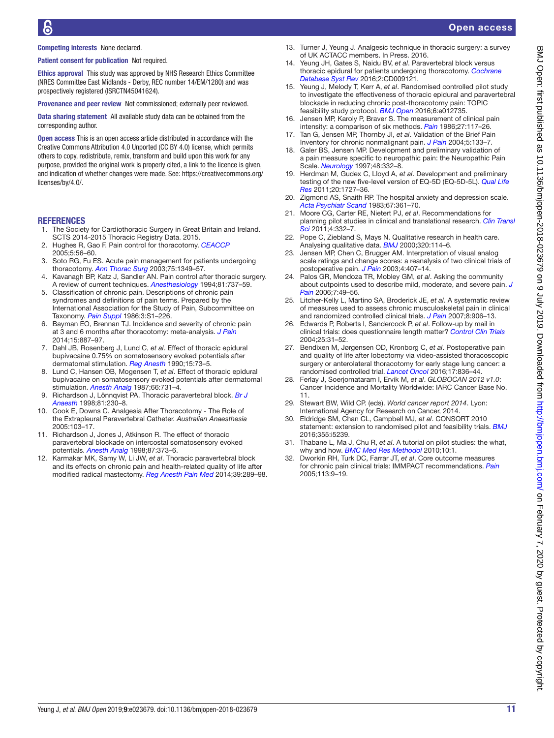BMJ Open: first published as 10.1136/bmjopen-2018-023679 on 9 July 2019. Downloaded from http://bmjopen.bmj.com/ on February 7, 2020 by guest. Protected by copyright BMJ Open: first published as 10.1136/bmjopen-2018-023679 on 9 July 2019. Downloaded from <http://bmjopen.bmj.com/> Bbruary 7, 2020 by guest. Protected by copyright.

Competing interests None declared.

#### Patient consent for publication Not required.

Ethics approval This study was approved by NHS Research Ethics Committee (NRES Committee East Midlands - Derby, REC number 14/EM/1280) and was prospectively registered (ISRCTN45041624).

Provenance and peer review Not commissioned; externally peer reviewed.

Data sharing statement All available study data can be obtained from the corresponding author.

Open access This is an open access article distributed in accordance with the Creative Commons Attribution 4.0 Unported (CC BY 4.0) license, which permits others to copy, redistribute, remix, transform and build upon this work for any purpose, provided the original work is properly cited, a link to the licence is given. and indication of whether changes were made. See: [https://creativecommons.org/](https://creativecommons.org/licenses/by/4.0/) [licenses/by/4.0/.](https://creativecommons.org/licenses/by/4.0/)

#### **REFERENCES**

- <span id="page-10-0"></span>1. The Society for Cardiothoracic Surgery in Great Britain and Ireland. SCTS 2014‐2015 Thoracic Registry Data. 2015.
- <span id="page-10-1"></span>2. Hughes R, Gao F. Pain control for thoracotomy. *[CEACCP](http://dx.doi.org/10.1093/bjaceaccp/mki014)* 2005;5:56–60.
- 3. Soto RG, Fu ES. Acute pain management for patients undergoing thoracotomy. *[Ann Thorac Surg](http://dx.doi.org/10.1016/S0003-4975(02)04647-7)* 2003;75:1349–57.
- 4. Kavanagh BP, Katz J, Sandler AN. Pain control after thoracic surgery. A review of current techniques. *[Anesthesiology](http://www.ncbi.nlm.nih.gov/pubmed/8092520)* 1994;81:737–59.
- <span id="page-10-2"></span>5. Classification of chronic pain. Descriptions of chronic pain syndromes and definitions of pain terms. Prepared by the International Association for the Study of Pain, Subcommittee on Taxonomy. *[Pain Suppl](http://www.ncbi.nlm.nih.gov/pubmed/3461421)* 1986;3:S1–226.
- <span id="page-10-3"></span>6. Bayman EO, Brennan TJ. Incidence and severity of chronic pain at 3 and 6 months after thoracotomy: meta-analysis. *[J Pain](http://dx.doi.org/10.1016/j.jpain.2014.06.005)* 2014;15:887–97.
- <span id="page-10-4"></span>7. Dahl JB, Rosenberg J, Lund C, *et al*. Effect of thoracic epidural bupivacaine 0.75% on somatosensory evoked potentials after dermatomal stimulation. *[Reg Anesth](http://www.ncbi.nlm.nih.gov/pubmed/2265158)* 1990;15:73–5.
- 8. Lund C, Hansen OB, Mogensen T, *et al*. Effect of thoracic epidural bupivacaine on somatosensory evoked potentials after dermatomal stimulation. *[Anesth Analg](http://dx.doi.org/10.1213/00000539-198708000-00006)* 1987;66:731–4.
- <span id="page-10-5"></span>9. Richardson J, Lönnqvist PA. Thoracic paravertebral block. *[Br J](http://dx.doi.org/10.1093/bja/81.2.230)  [Anaesth](http://dx.doi.org/10.1093/bja/81.2.230)* 1998;81:230–8.
- 10. Cook E, Downs C. Analgesia After Thoracotomy ‐ The Role of the Extrapleural Paravertebral Catheter. *Australian Anaesthesia* 2005:103–17.
- <span id="page-10-6"></span>11. Richardson J, Jones J, Atkinson R. The effect of thoracic paravertebral blockade on intercostal somatosensory evoked potentials. *[Anesth Analg](http://www.ncbi.nlm.nih.gov/pubmed/9706933)* 1998;87:373–6.
- <span id="page-10-7"></span>12. Karmakar MK, Samy W, Li JW, *et al*. Thoracic paravertebral block and its effects on chronic pain and health-related quality of life after modified radical mastectomy. *[Reg Anesth Pain Med](http://dx.doi.org/10.1097/AAP.0000000000000113)* 2014;39:289–98.
- <span id="page-10-8"></span>13. Turner J, Yeung J. Analgesic technique in thoracic surgery: a survey of UK ACTACC members. In Press. 2016.
- <span id="page-10-9"></span>14. Yeung JH, Gates S, Naidu BV, *et al*. Paravertebral block versus thoracic epidural for patients undergoing thoracotomy. *[Cochrane](http://dx.doi.org/10.1002/14651858.CD009121.pub2)  [Database Syst Rev](http://dx.doi.org/10.1002/14651858.CD009121.pub2)* 2016;2:CD009121.
- <span id="page-10-10"></span>15. Yeung J, Melody T, Kerr A, *et al*. Randomised controlled pilot study to investigate the effectiveness of thoracic epidural and paravertebral blockade in reducing chronic post-thoracotomy pain: TOPIC feasibility study protocol. *[BMJ Open](http://dx.doi.org/10.1136/bmjopen-2016-012735)* 2016;6:e012735.
- <span id="page-10-11"></span>16. Jensen MP, Karoly P, Braver S. The measurement of clinical pain intensity: a comparison of six methods. *[Pain](http://dx.doi.org/10.1016/0304-3959(86)90228-9)* 1986;27:117–26. 17. Tan G, Jensen MP, Thornby JI, *et al*. Validation of the Brief Pain
- <span id="page-10-12"></span>Inventory for chronic nonmalignant pain. *[J Pain](http://dx.doi.org/10.1016/j.jpain.2003.12.005)* 2004;5:133–7.
- <span id="page-10-13"></span>18. Galer BS, Jensen MP. Development and preliminary validation of a pain measure specific to neuropathic pain: the Neuropathic Pain Scale. *[Neurology](http://dx.doi.org/10.1212/WNL.48.2.332)* 1997;48:332–8.
- <span id="page-10-14"></span>19. Herdman M, Gudex C, Lloyd A, *et al*. Development and preliminary testing of the new five-level version of EQ-5D (EQ-5D-5L). *[Qual Life](http://dx.doi.org/10.1007/s11136-011-9903-x)  [Res](http://dx.doi.org/10.1007/s11136-011-9903-x)* 2011;20:1727–36.
- <span id="page-10-15"></span>20. Zigmond AS, Snaith RP. The hospital anxiety and depression scale. *[Acta Psychiatr Scand](http://dx.doi.org/10.1111/j.1600-0447.1983.tb09716.x)* 1983;67:361–70.
- <span id="page-10-16"></span>21. Moore CG, Carter RE, Nietert PJ, *et al*. Recommendations for planning pilot studies in clinical and translational research. *[Clin Transl](http://dx.doi.org/10.1111/j.1752-8062.2011.00347.x)  [Sci](http://dx.doi.org/10.1111/j.1752-8062.2011.00347.x)* 2011;4:332–7.
- <span id="page-10-17"></span>22. Pope C, Ziebland S, Mays N. Qualitative research in health care. Analysing qualitative data. *[BMJ](http://dx.doi.org/10.1136/bmj.320.7227.114)* 2000;320:114–6.
- <span id="page-10-18"></span>23. Jensen MP, Chen C, Brugger AM. Interpretation of visual analog scale ratings and change scores: a reanalysis of two clinical trials of postoperative pain. *[J Pain](http://dx.doi.org/10.1016/S1526-5900(03)00716-8)* 2003;4:407–14.
- 24. Palos GR, Mendoza TR, Mobley GM, *et al*. Asking the community about cutpoints used to describe mild, moderate, and severe pain. *[J](http://dx.doi.org/10.1016/j.jpain.2005.07.012)  [Pain](http://dx.doi.org/10.1016/j.jpain.2005.07.012)* 2006;7:49–56.
- <span id="page-10-19"></span>25. Litcher-Kelly L, Martino SA, Broderick JE, *et al*. A systematic review of measures used to assess chronic musculoskeletal pain in clinical and randomized controlled clinical trials. *[J Pain](http://dx.doi.org/10.1016/j.jpain.2007.06.009)* 2007;8:906–13.
- <span id="page-10-20"></span>26. Edwards P, Roberts I, Sandercock P, *et al*. Follow-up by mail in clinical trials: does questionnaire length matter? *[Control Clin Trials](http://dx.doi.org/10.1016/j.cct.2003.08.013)* 2004;25:31–52.
- <span id="page-10-21"></span>27. Bendixen M, Jørgensen OD, Kronborg C, *et al*. Postoperative pain and quality of life after lobectomy via video-assisted thoracoscopic surgery or anterolateral thoracotomy for early stage lung cancer: a randomised controlled trial. *[Lancet Oncol](http://dx.doi.org/10.1016/S1470-2045(16)00173-X)* 2016;17:836–44.
- <span id="page-10-22"></span>28. Ferlay J, Soerjomataram I, Ervik M, *et al*. *GLOBOCAN 2012 v1.0*: Cancer Incidence and Mortality Worldwide: IARC Cancer Base No. 11.
- 29. Stewart BW, Wild CP. (eds). *World cancer report 2014*. Lyon: International Agency for Research on Cancer, 2014.
- <span id="page-10-23"></span>30. Eldridge SM, Chan CL, Campbell MJ, *et al*. CONSORT 2010 statement: extension to randomised pilot and feasibility trials. *[BMJ](http://dx.doi.org/10.1136/bmj.i5239)* 2016;355:i5239.
- <span id="page-10-24"></span>31. Thabane L, Ma J, Chu R, *et al*. A tutorial on pilot studies: the what, why and how. *[BMC Med Res Methodol](http://dx.doi.org/10.1186/1471-2288-10-1)* 2010;10:1.
- <span id="page-10-25"></span>32. Dworkin RH, Turk DC, Farrar JT, *et al*. Core outcome measures for chronic pain clinical trials: IMMPACT recommendations. *[Pain](http://dx.doi.org/10.1016/j.pain.2004.09.012)* 2005;113:9–19.